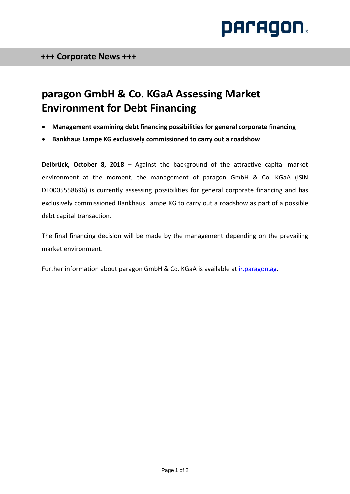

## **paragon GmbH & Co. KGaA Assessing Market Environment for Debt Financing**

- **Management examining debt financing possibilities for general corporate financing**
- **Bankhaus Lampe KG exclusively commissioned to carry out a roadshow**

**Delbrück, October 8, 2018** – Against the background of the attractive capital market environment at the moment, the management of paragon GmbH & Co. KGaA (ISIN DE0005558696) is currently assessing possibilities for general corporate financing and has exclusively commissioned Bankhaus Lampe KG to carry out a roadshow as part of a possible debt capital transaction.

The final financing decision will be made by the management depending on the prevailing market environment.

Further information about paragon GmbH & Co. KGaA is available at [ir.paragon.ag.](https://ir.paragon.ag/websites/paragon/English/0/investor-relations.html)